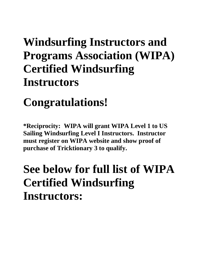## **Windsurfing Instructors and Programs Association (WIPA) Certified Windsurfing Instructors**

## **Congratulations!**

**\*Reciprocity: WIPA will grant WIPA Level 1 to US Sailing Windsurfing Level I Instructors. Instructor must register on WIPA website and show proof of purchase of Tricktionary 3 to qualify.** 

## **See below for full list of WIPA Certified Windsurfing Instructors:**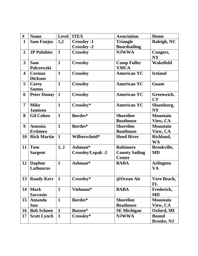| #                       | <b>Name</b>        | <b>Level</b> | <b>ITEX</b>              | <b>Association</b>    | Home              |
|-------------------------|--------------------|--------------|--------------------------|-----------------------|-------------------|
| $\mathbf{1}$            | <b>Sam Fanjoy</b>  | 1,2          | <b>Crossley -1</b>       | <b>Triangle</b>       | Raleigh, NC       |
|                         |                    |              | <b>Crossley -2</b>       | <b>Boardsailing</b>   |                   |
| $\overline{2}$          | <b>JP Polubiec</b> | $\mathbf{1}$ | <b>Crossley</b>          | <b>NJWWA</b>          | Congers,          |
|                         |                    |              |                          |                       | <b>NY</b>         |
| $\overline{\mathbf{3}}$ | <b>Sam</b>         | $\mathbf{1}$ | <b>Crossley</b>          | <b>Camp Fuller</b>    | Wakefield         |
|                         | <b>Palczewski</b>  |              |                          | <b>YMCA</b>           |                   |
| 4                       | <b>Cormac</b>      | $\mathbf{1}$ | <b>Crossley</b>          | <b>American YC</b>    | <b>Ireland</b>    |
|                         | <b>Dickson</b>     |              |                          |                       |                   |
| 5                       | <b>Corey</b>       | $\mathbf{1}$ | <b>Crossley</b>          | <b>American YC</b>    | Guam              |
|                         | <b>Santos</b>      |              |                          |                       |                   |
| 6                       | <b>Peter Dunay</b> | $\mathbf{1}$ | <b>Crossley</b>          | <b>American YC</b>    | Greenwich,        |
|                         |                    |              |                          |                       | <b>CT</b>         |
| 7                       | <b>Mike</b>        | $\mathbf{1}$ | Crossley*                | <b>American YC</b>    | Sloatsburg,       |
|                         | <b>Jamison</b>     |              |                          |                       | <b>NY</b>         |
| 8                       | <b>Gil Cohen</b>   | $\mathbf{1}$ | Bordes*                  | <b>Shoreline</b>      | <b>Mountain</b>   |
|                         |                    |              |                          | <b>Boathouse</b>      | View, CA          |
| 9                       | <b>Antonia</b>     | $\mathbf{1}$ | Bordes*                  | <b>Shoreline</b>      | <b>Mountain</b>   |
|                         | <b>Evtimow</b>     |              |                          | <b>Boathouse</b>      | View, CA          |
| 10                      | <b>Rick Martin</b> | $\mathbf{1}$ | Wilberscheid*            | <b>Hood River</b>     | Richland,         |
|                         |                    |              |                          |                       | <b>WA</b>         |
| 11                      | <b>Tom</b>         | 1, 2         | Ashman*                  | <b>Baltimore</b>      | Brookville,       |
|                         | <b>Sargent</b>     |              | <b>Crossley/Lepak -2</b> | <b>County Sailing</b> | <b>MD</b>         |
|                         |                    |              |                          | <b>Center</b>         |                   |
| 12                      | <b>Daphne</b>      | $\mathbf{1}$ | Ashman*                  | <b>BABA</b>           | <b>Arlington</b>  |
|                         | Lathouras          |              |                          |                       | <b>VA</b>         |
|                         |                    |              |                          |                       |                   |
|                         | 13 Randy Kerr      | $\mathbf{1}$ | Crossley*                | @Ocean Air            | Vero Beach,       |
|                         |                    |              |                          |                       | FL                |
| 14                      | <b>Mark</b>        | $\mathbf{1}$ | Viehman*                 | <b>BABA</b>           | Frederick,        |
|                         | <b>Sarrasin</b>    |              |                          |                       | <b>MD</b>         |
| 15                      | <b>Amanda</b>      | $\mathbf{1}$ | Bordes*                  | <b>Shoreline</b>      | <b>Mountain</b>   |
|                         | Sun                |              |                          | <b>Boathouse</b>      | View, CA          |
| <b>16</b>               | <b>Bob Schoen</b>  | $\mathbf{1}$ | Butzen*                  | <b>SE Michigan</b>    | Oxford, MI        |
| 17                      | <b>Scott Lynch</b> | $\mathbf{1}$ | Crossley*                | <b>NJWWA</b>          | <b>Bound</b>      |
|                         |                    |              |                          |                       | <b>Brooke, NJ</b> |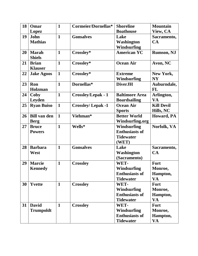| 18 | Omar                | $\mathbf{1}$ | Cormeier/Dornellas*       | <b>Shoreline</b>      | <b>Mountain</b>   |
|----|---------------------|--------------|---------------------------|-----------------------|-------------------|
|    | Lopez               |              |                           | <b>Boathouse</b>      | View, CA          |
| 19 | John                | $\mathbf{1}$ | <b>Gonsalves</b>          | Lake                  | Sacramento,       |
|    | <b>Mathias</b>      |              |                           | <b>Washington</b>     | CA                |
|    |                     |              |                           | <b>Windsurfing</b>    |                   |
| 20 | <b>Marah</b>        | $\mathbf{1}$ | Crossley*                 | <b>American YC</b>    | <b>Rumson, NJ</b> |
|    | <b>Shiels</b>       |              |                           |                       |                   |
| 21 | <b>Brian</b>        | $\mathbf{1}$ | Crossley*                 | <b>Ocean Air</b>      | Avon, NC          |
|    | <b>Klauser</b>      |              |                           |                       |                   |
| 22 | <b>Jake Agoos</b>   | $\mathbf{1}$ | Crossley*                 | <b>Extreme</b>        | New York,         |
|    |                     |              |                           | <b>Windsurfing</b>    | <b>NY</b>         |
| 23 | Ron                 | $\mathbf{1}$ | Dornellas*                | <b>DiverJH</b>        | Auburndale,       |
|    | Holzman             |              |                           |                       | <b>FL</b>         |
| 24 | Coby                | $\mathbf{1}$ | <b>Crossley/Lepak - 1</b> | <b>Baltimore Area</b> | Arlington,        |
|    | Leyden              |              |                           | <b>Boardsailing</b>   | <b>VA</b>         |
| 25 | <b>Ryan Buiso</b>   | $\mathbf{1}$ | <b>Crossley/Lepak -1</b>  | <b>Ocean Air</b>      | <b>Kill Devil</b> |
|    |                     |              |                           | <b>Sports</b>         | Hills, NC         |
| 26 | <b>Bill van den</b> | $\mathbf{1}$ | Viehman*                  | <b>Better World</b>   | Howard, PA        |
|    | <b>Berg</b>         |              |                           | Windsurfing.org       |                   |
| 27 | <b>Bruce</b>        | $\mathbf{1}$ | Wells*                    | <b>Windsurfing</b>    | Norfolk, VA       |
|    | <b>Powers</b>       |              |                           | <b>Enthusiasts of</b> |                   |
|    |                     |              |                           | <b>Tidewater</b>      |                   |
|    |                     |              |                           | (WET)                 |                   |
| 28 | <b>Barbara</b>      | $\mathbf{1}$ | <b>Gonsalves</b>          | Lake                  | Sacramento,       |
|    | West                |              |                           | Washington            | CA                |
|    |                     |              |                           | (Sacramento)          |                   |
| 29 | <b>Marcie</b>       | $\mathbf{1}$ | <b>Crossley</b>           | WET-                  | Fort              |
|    | <b>Kennedy</b>      |              |                           | <b>Windsurfing</b>    | Monroe,           |
|    |                     |              |                           | <b>Enthusiasts of</b> | Hampton,          |
|    |                     |              |                           | <b>Tidewater</b>      | <b>VA</b>         |
| 30 | <b>Yvette</b>       | $\mathbf{1}$ | <b>Crossley</b>           | WET-                  | <b>Fort</b>       |
|    |                     |              |                           | <b>Windsurfing</b>    | Monroe,           |
|    |                     |              |                           | <b>Enthusiasts of</b> | Hampton,          |
|    |                     |              |                           | <b>Tidewater</b>      | <b>VA</b>         |
| 31 | <b>David</b>        | $\mathbf{1}$ | <b>Crossley</b>           | WET-                  | Fort              |
|    | <b>Trumpoldt</b>    |              |                           | <b>Windsurfing</b>    | Monroe,           |
|    |                     |              |                           | <b>Enthusiasts of</b> | Hampton,          |
|    |                     |              |                           | <b>Tidewater</b>      | <b>VA</b>         |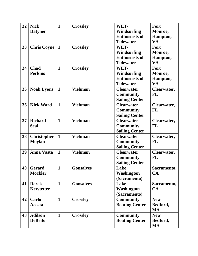| 32 | <b>Nick</b>        | $\mathbf{1}$ | <b>Crossley</b>  | WET-                  | Fort        |
|----|--------------------|--------------|------------------|-----------------------|-------------|
|    | <b>Datyner</b>     |              |                  | <b>Windsurfing</b>    | Monroe,     |
|    |                    |              |                  | <b>Enthusiasts of</b> | Hampton,    |
|    |                    |              |                  | <b>Tidewater</b>      | <b>VA</b>   |
| 33 | <b>Chris Coyne</b> | $\mathbf{1}$ | <b>Crossley</b>  | WET-                  | Fort        |
|    |                    |              |                  | <b>Windsurfing</b>    | Monroe,     |
|    |                    |              |                  | <b>Enthusiasts of</b> | Hampton,    |
|    |                    |              |                  | <b>Tidewater</b>      | <b>VA</b>   |
| 34 | <b>Chad</b>        | $\mathbf{1}$ | <b>Crossley</b>  | WET-                  | Fort        |
|    | <b>Perkins</b>     |              |                  | <b>Windsurfing</b>    | Monroe,     |
|    |                    |              |                  | <b>Enthusiasts of</b> | Hampton,    |
|    |                    |              |                  | <b>Tidewater</b>      | <b>VA</b>   |
| 35 | <b>Noah Lyons</b>  | $\mathbf{1}$ | <b>Viehman</b>   | <b>Clearwater</b>     | Clearwater, |
|    |                    |              |                  | <b>Community</b>      | <b>FL</b>   |
|    |                    |              |                  | <b>Sailing Center</b> |             |
| 36 | <b>Kirk Ward</b>   | $\mathbf{1}$ | <b>Viehman</b>   | <b>Clearwater</b>     | Clearwater, |
|    |                    |              |                  | <b>Community</b>      | <b>FL</b>   |
|    |                    |              |                  | <b>Sailing Center</b> |             |
| 37 | <b>Richard</b>     | $\mathbf{1}$ | <b>Viehman</b>   | <b>Clearwater</b>     | Clearwater, |
|    | <b>Seal</b>        |              |                  | <b>Community</b>      | <b>FL</b>   |
|    |                    |              |                  | <b>Sailing Center</b> |             |
| 38 | <b>Christopher</b> | $\mathbf{1}$ | <b>Viehman</b>   | <b>Clearwater</b>     | Clearwater, |
|    | <b>Moylan</b>      |              |                  | <b>Community</b>      | <b>FL</b>   |
|    |                    |              |                  | <b>Sailing Center</b> |             |
| 39 | <b>Anna Vasta</b>  | $\mathbf{1}$ | <b>Viehman</b>   | <b>Clearwater</b>     | Clearwater, |
|    |                    |              |                  | <b>Community</b>      | <b>FL</b>   |
|    |                    |              |                  | <b>Sailing Center</b> |             |
|    | $40$ Gerard        | $\mathbf{1}$ | <b>Gonsalves</b> | Lake                  | Sacramento, |
|    | <b>Mockler</b>     |              |                  | <b>Washington</b>     | CA          |
|    |                    |              |                  | (Sacramento)          |             |
| 41 | <b>Derek</b>       | $\mathbf{1}$ | <b>Gonsalves</b> | Lake                  | Sacramento, |
|    | <b>Kerstetter</b>  |              |                  | <b>Washington</b>     | CA          |
|    |                    |              |                  | (Sacramento)          |             |
| 42 | Carlo              | $\mathbf{1}$ | <b>Crossley</b>  | <b>Community</b>      | <b>New</b>  |
|    | Acosta             |              |                  | <b>Boating Center</b> | Bedford,    |
|    |                    |              |                  |                       | <b>MA</b>   |
| 43 | <b>Adilson</b>     | $\mathbf{1}$ | <b>Crossley</b>  | <b>Community</b>      | <b>New</b>  |
|    | <b>DeBrito</b>     |              |                  | <b>Boating Center</b> | Bedford,    |
|    |                    |              |                  |                       | <b>MA</b>   |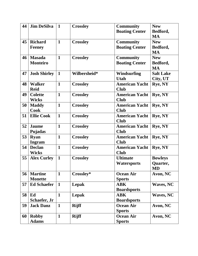| 44 | <b>Jim DeSilva</b>  | $\mathbf{1}$ | <b>Crossley</b> | <b>Community</b>      | <b>New</b>       |
|----|---------------------|--------------|-----------------|-----------------------|------------------|
|    |                     |              |                 | <b>Boating Center</b> | Bedford,         |
|    |                     |              |                 |                       | <b>MA</b>        |
| 45 | <b>Richard</b>      | $\mathbf{1}$ | <b>Crossley</b> | <b>Community</b>      | <b>New</b>       |
|    | <b>Feeney</b>       |              |                 | <b>Boating Center</b> | Bedford,         |
|    |                     |              |                 |                       | <b>MA</b>        |
| 46 | <b>Masada</b>       | $\mathbf{1}$ | <b>Crossley</b> | <b>Community</b>      | <b>New</b>       |
|    | <b>Monteiro</b>     |              |                 | <b>Boating Center</b> | Bedford,         |
|    |                     |              |                 |                       | <b>MA</b>        |
| 47 | <b>Josh Shirley</b> | $\mathbf{1}$ | Wilbersheid*    | Windsurfing           | <b>Salt Lake</b> |
|    |                     |              |                 | <b>Utah</b>           | City, UT         |
| 48 | <b>Walker</b>       | $\mathbf{1}$ | <b>Crossley</b> | <b>American Yacht</b> | Rye, NY          |
|    | <b>Reid</b>         |              |                 | <b>Club</b>           |                  |
| 49 | <b>Colette</b>      | $\mathbf{1}$ | <b>Crossley</b> | <b>American Yacht</b> | Rye, NY          |
|    | <b>Wicks</b>        |              |                 | <b>Club</b>           |                  |
| 50 | <b>Maddy</b>        | $\mathbf{1}$ | <b>Crossley</b> | <b>American Yacht</b> | Rye, NY          |
|    | <b>Cook</b>         |              |                 | <b>Club</b>           |                  |
| 51 | <b>Ellie Cook</b>   | $\mathbf{1}$ | <b>Crossley</b> | <b>American Yacht</b> | Rye, NY          |
|    |                     |              |                 | <b>Club</b>           |                  |
| 52 | <b>Jaume</b>        | $\mathbf{1}$ | <b>Crossley</b> | <b>American Yacht</b> | Rye, NY          |
|    | Pujadas             |              |                 | <b>Club</b>           |                  |
| 53 | <b>Ryan</b>         | $\mathbf{1}$ | <b>Crossley</b> | <b>American Yacht</b> | Rye, NY          |
|    | <b>Ingram</b>       |              |                 | <b>Club</b>           |                  |
| 54 | <b>Declan</b>       | $\mathbf{1}$ | <b>Crossley</b> | <b>American Yacht</b> | Rye, NY          |
|    | <b>Wicks</b>        |              |                 | <b>Club</b>           |                  |
| 55 | <b>Alex Curley</b>  | $\mathbf{1}$ | <b>Crossley</b> | <b>Ultimate</b>       | <b>Bowleys</b>   |
|    |                     |              |                 | Watersports           | Quarter,         |
|    |                     |              |                 |                       | <b>MD</b>        |
| 56 | <b>Martine</b>      | $\mathbf{1}$ | Crossley*       | <b>Ocean Air</b>      | Avon, NC         |
|    | <b>Monette</b>      |              |                 | <b>Sports</b>         |                  |
| 57 | <b>Ed Schaefer</b>  | $\mathbf{1}$ | Lepak           | <b>ABK</b>            | <b>Waves, NC</b> |
|    |                     |              |                 | <b>Boardsports</b>    |                  |
| 58 | Ed                  | $\mathbf{1}$ | Lepak           | <b>ABK</b>            | <b>Waves, NC</b> |
|    | Schaefer, Jr        |              |                 | <b>Boardsports</b>    |                  |
| 59 | <b>Jack Danz</b>    | $\mathbf{1}$ | <b>Rijff</b>    | <b>Ocean Air</b>      | Avon, NC         |
|    |                     |              |                 | <b>Sports</b>         |                  |
| 60 | <b>Robby</b>        | $\mathbf{1}$ | <b>Rijff</b>    | <b>Ocean Air</b>      | Avon, NC         |
|    | <b>Adams</b>        |              |                 | <b>Sports</b>         |                  |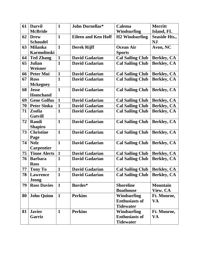| 61 | <b>Darvil</b>       | $\mathbf{1}$ | <b>John Dornellas*</b>     | <b>Calema</b>           | <b>Merritt</b>       |
|----|---------------------|--------------|----------------------------|-------------------------|----------------------|
|    | <b>McBride</b>      |              |                            | <b>Windsurfing</b>      | Island, FL           |
| 62 | <b>Drew</b>         | $\mathbf{1}$ | <b>Eileen and Ken Hoff</b> | <b>H2 Windsurfing</b>   | <b>Seaside Hts.,</b> |
|    | <b>Schoudel</b>     |              |                            |                         | <b>NJ</b>            |
| 63 | <b>Milanka</b>      | $\mathbf{1}$ | <b>Derek Rijff</b>         | <b>Ocean Air</b>        | Avon, NC             |
|    | <b>Karmolinski</b>  |              |                            | <b>Sports</b>           |                      |
| 64 | <b>Ted Zhang</b>    | $\mathbf{1}$ | <b>David Gadarian</b>      | <b>Cal Sailing Club</b> | <b>Berkley, CA</b>   |
| 65 | <b>Julian</b>       | $\mathbf{1}$ | <b>David Gadarian</b>      | <b>Cal Sailing Club</b> | <b>Berkley, CA</b>   |
|    | Weisner             |              |                            |                         |                      |
| 66 | <b>Peter Mui</b>    | $\mathbf{1}$ | <b>David Gadarian</b>      | <b>Cal Sailing Club</b> | <b>Berkley, CA</b>   |
| 67 | <b>Ross</b>         | $\mathbf{1}$ | <b>David Gadarian</b>      | <b>Cal Sailing Club</b> | <b>Berkley, CA</b>   |
|    | <b>Mckegney</b>     |              |                            |                         |                      |
| 68 | <b>Jesse</b>        | $\mathbf{1}$ | <b>David Gadarian</b>      | <b>Cal Sailing Club</b> | <b>Berkley, CA</b>   |
|    | <b>Homchand</b>     |              |                            |                         |                      |
| 69 | <b>Gene Golfus</b>  | $\mathbf{1}$ | <b>David Gadarian</b>      | <b>Cal Sailing Club</b> | <b>Berkley, CA</b>   |
| 70 | <b>Peter Sinka</b>  | $\mathbf{1}$ | <b>David Gadarian</b>      | <b>Cal Sailing Club</b> | <b>Berkley, CA</b>   |
| 71 | Zsofia              | $\mathbf{1}$ | <b>David Gadarian</b>      | <b>Cal Sailing Club</b> | <b>Berkley, CA</b>   |
|    | <b>Gutvill</b>      |              |                            |                         |                      |
| 72 | Randi               | $\mathbf{1}$ | <b>David Gadarian</b>      | <b>Cal Sailing Club</b> | <b>Berkley, CA</b>   |
|    | <b>Shapiro</b>      |              |                            |                         |                      |
| 73 | <b>Christine</b>    | $\mathbf{1}$ | <b>David Gadarian</b>      | <b>Cal Sailing Club</b> | <b>Berkley, CA</b>   |
|    | Page                |              |                            |                         |                      |
| 74 | <b>Nelz</b>         | $\mathbf{1}$ | <b>David Gadarian</b>      | <b>Cal Sailing Club</b> | <b>Berkley, CA</b>   |
|    | <b>Carpentier</b>   |              |                            |                         |                      |
| 75 | <b>Tinne Alerts</b> | $\mathbf{1}$ | <b>David Gadarian</b>      | <b>Cal Sailing Club</b> | <b>Berkley, CA</b>   |
| 76 | <b>Barbara</b>      | $\mathbf{1}$ | <b>David Gadarian</b>      | <b>Cal Sailing Club</b> | <b>Berkley, CA</b>   |
|    | <b>Ross</b>         |              |                            |                         |                      |
| 77 | <b>Tony To</b>      | $\mathbf{1}$ | <b>David Gadarian</b>      | <b>Cal Sailing Club</b> | <b>Berkley, CA</b>   |
| 78 | <b>Lawrence</b>     | $\mathbf{1}$ | <b>David Gadarian</b>      | <b>Cal Sailing Club</b> | <b>Berkley, CA</b>   |
|    | <b>Jeong</b>        |              |                            |                         |                      |
| 79 | <b>Ross Davies</b>  | $\mathbf{1}$ | Bordes*                    | <b>Shoreline</b>        | <b>Mountain</b>      |
|    |                     |              |                            | <b>Boathouse</b>        | <b>View. CA</b>      |
| 80 | <b>John Quinn</b>   | $\mathbf{1}$ | <b>Perkins</b>             | <b>Windsurfing</b>      | Ft. Monroe,          |
|    |                     |              |                            | <b>Enthusiasts of</b>   | VA                   |
|    |                     |              |                            | <b>Tidewater</b>        |                      |
| 81 | <b>Javier</b>       | $\mathbf{1}$ | <b>Perkins</b>             | Windsurfing             | Ft. Monroe,          |
|    | Garriz              |              |                            | <b>Enthusiasts of</b>   | VA                   |
|    |                     |              |                            | <b>Tidewater</b>        |                      |